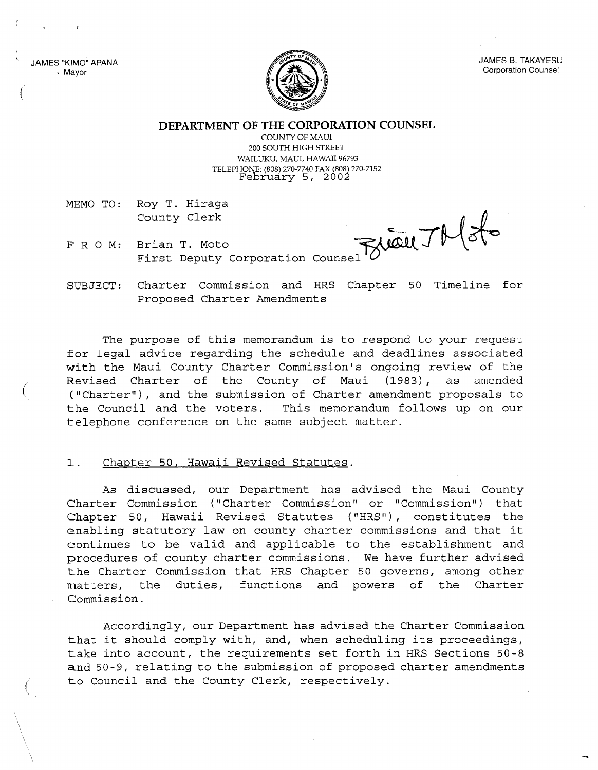JAMES "KIMO" APANA . Mayor

(

(



JAMES B. TAKAYESU Corporation Counsel

**DEPARTMENT OF THE CORPORATION COUNSEL**

COUNTY OF MAUl 200 SOUTH HIGH STREET WAILUKU, MAUl, HAWAII 96793 TELEPHONE: (808) 270-7740 FAX (808) 270-7152 February 5, 2002

MEMO TO: Roy T. Hiraga County Clerk

 $-115$  $_{\text{Course}}$   $\circ$   $\circ$ 

FRO M: Brian T. Moto First Deputy Corporation

SUBJECT: Charter Commission and HRS Chapter. 50 Timeline for Proposed Charter Amendments

The purpose of this memorandum is to respond to your request for legal advice regarding the schedule and deadlines associated with the Maui County Charter Commission's ongoing review of the Revised Charter of the County of Maui (1983), as amended ("Charter"), and the submission of Charter amendment proposals to the Council and the voters. This memorandum follows up on our telephone conference on the same subject matter.

## l. Chapter 50, Hawaii Revised Statutes.

As discussed, our Department has advised the Maui County Charter Commission ("Charter Commission" or "Commission") that Chapter 50, Hawaii Revised Statutes ("HRS"), constitutes the enabling statutory law on county charter commissions and that it continues to be valid and applicable to the establishment and procedures of county charter commissions. We have further advised the Charter Commission that HRS Chapter 50 governs, among other matters, the duties, functions and powers of the Charter Commission.

Accordingly, our Department has advised the Charter Commission that it should comply with, and, when scheduling its proceedings, take into account, the requirements set forth in HRS Sections 50-8 and 50-9, relating to the submission of proposed charter amendments to Council and the County Clerk, respectively.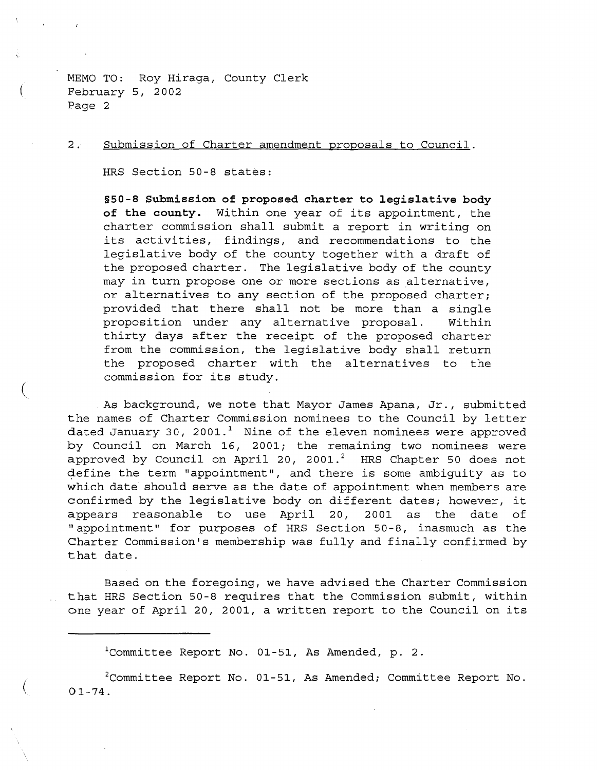(

(

(

2. Submission of Charter amendment proposals to Council.

HRS Section 50-8 states:

**§50-8 Submission of proposed charter to legislative body of the county.** Within one year of its appointment, the charter commission shall submit a report in writing on its activities, findings, and recommendations to the legislative body of the county together with <sup>a</sup> draft of the proposed charter. The legislative body of the county may in turn propose one or more sections as alternative, or alternatives to any section of the proposed charter; provided that there shall not be more than a single proposition under any alternative proposal. Within thirty days after the receipt of the proposed charter from the commission, the legislative body shall return the proposed charter with the alternatives to the commission for its study.

As background, we note that Mayor James Apana, Jr., submitted the names of Charter Commission nominees to the Council by letter dated January 30, 2001.<sup>1</sup> Nine of the eleven nominees were approved by Council on March 16, 2001; the remaining two nominees were approved by Council on April 20, 2001.<sup>2</sup> HRS Chapter 50 does not define the term "appointment", and there is some ambiguity as to which date should serve as the date of appointment when members are confirmed by the legislative body on different dates; however, it appears reasonable to use April 20, 2001 as the date of "appointment" for purposes of HRS Section 50-8, inasmuch as the Charter Commission's membership was fully and finally confirmed by that date.

Based on the foregoing, we have advised the Charter Commission that HRS Section 50-8 requires that the Commission submit, within one year of April 20, 2001, <sup>a</sup> written report to the Council on its

 $1$ Committee Report No. 01-51, As Amended, p. 2.

 $2$ Committee Report No. 01-51, As Amended; Committee Report No.  $01 - 74$ .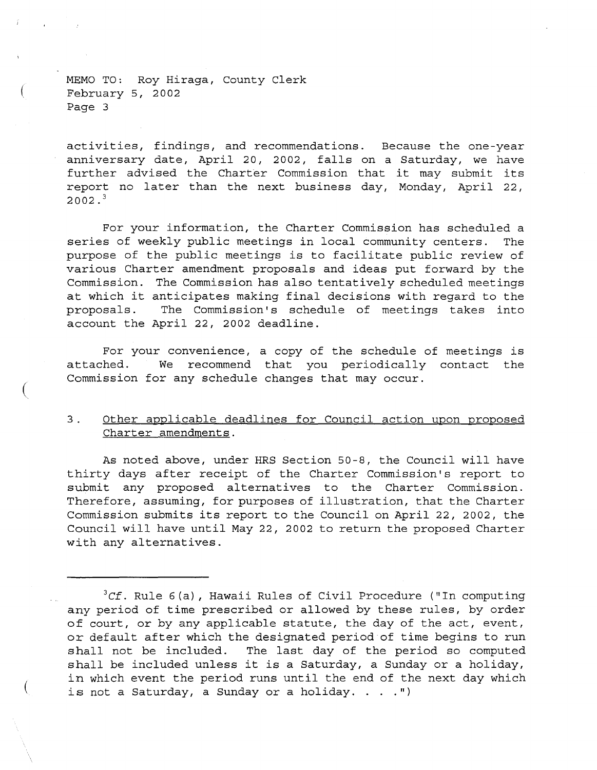(

(

activities, findings, and recommendations. Because the one-year anniversary date, April 20, 2002, falls on <sup>a</sup> Saturday, we have further advised the Charter Commission that it may submit its report no later than the next business day, Monday, April 22,  $2002.<sup>3</sup>$ 

For your information, the Charter Commission has scheduled a series of weekly public meetings in local community centers. The purpose of the public meetings is to facilitate public review of various Charter amendment proposals and ideas put forward by the Commission. The Commission has also tentatively scheduled meetings at which it anticipates making final decisions with regard to the<br>proposals. The Commission's schedule of meetings takes into The Commission's schedule of meetings takes into account the April 22, 2002 deadline.

For your convenience, <sup>a</sup> copy of the schedule of meetings is attached. We recommend that you periodically contact the Commission for any schedule changes that may occur.

## 3. Other applicable deadlines for Council action upon proposed Charter amendments.

As noted above, under HRS Section 50-8, the Council will have thirty days after receipt of the Charter Commission's report to submit any proposed alternatives to the Charter Commission. Therefore, assuming, for purposes of illustration, that the Charter Commission submits its report to the Council on April 22, 2002, the Council will have until May 22, 2002 to return the proposed Charter with any alternatives.

<sup>&</sup>lt;sup>3</sup>Cf. Rule 6(a), Hawaii Rules of Civil Procedure ("In computing any period of time prescribed or allowed by these rules, by order of court, or by any applicable statute, the day of the act, event, or default after which the designated period of time begins to run shall not be included. The last day of the period so computed shall be included unless it is <sup>a</sup> Saturday, <sup>a</sup> Sunday or <sup>a</sup> holiday, in which event the period runs until the end of the next day which is not a Saturday, a Sunday or a holiday.  $\ldots$ .")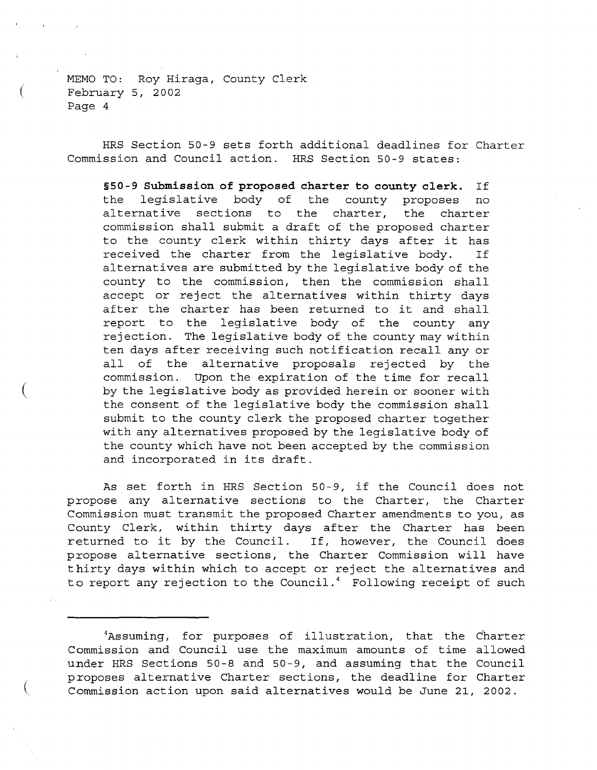(

(

(

HRS Section 50-9 sets forth additional deadlines for Charter Commission and Council action. HRS Section 50-9 states:

**§50-9 Submission of proposed charter to county clerk.** If the legislative body of the county proposes no alternative sections to the charter, the charter commission shall submit a draft of the proposed charter to the county clerk within thirty days after it has received the charter from the legislative body. If alternatives are submitted by the legislative body of the county to the commission, then the commission shall accept or reject the alternatives within thirty days after the charter has been returned to it and shall report to the legislative body of the county any rejection. The legislative body of the county may within ten days after receiving such notification recall any or all of the alternative proposals rejected by the commission. Upon the expiration of the time for recall by the legislative body as provided herein or sooner with the consent of the legislative body the commission shall submit to the county clerk the proposed charter together with any alternatives proposed by the legislative body of the county which have not been accepted by the commission and incorporated in its draft.

As set forth in HRS Section 50-9, if the Council does not propose any alternative sections to the Charter, the Charter Commission must transmit the proposed Charter amendments to you, as County Clerk, within thirty days after the Charter has been returned to it by the Council. If, however, the Council does propose alternative sections, the Charter Commission will have thirty days within which to accept or reject the alternatives and to report any rejection to the Council.<sup>4</sup> Following receipt of such

<sup>4</sup>Assuming, for purposes of illustration, that the Charter Commission and Council use the maximum amounts of time allowed under HRS Sections 50-8 and 50-9, and assuming that the Council proposes alternative Charter sections, the deadline for Charter Commission action upon said alternatives would be June 21, 2002.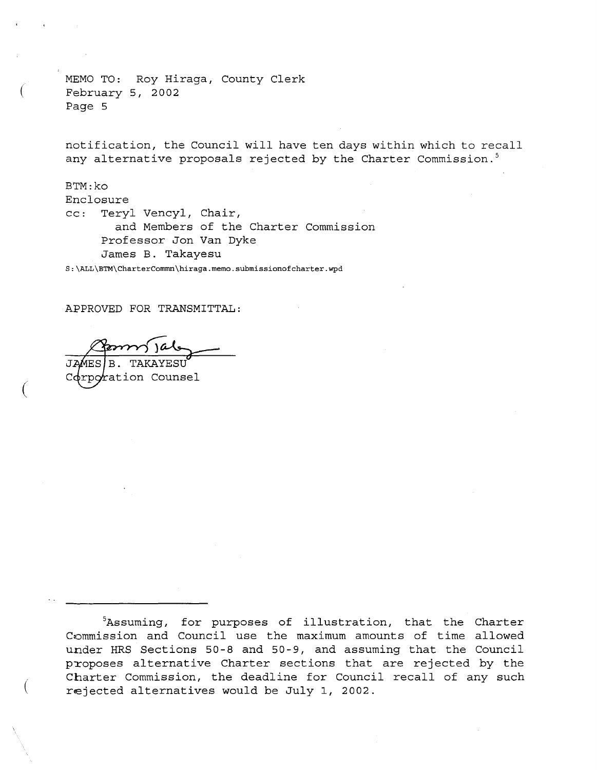(

(

(

notification, the Council will have ten days within which to recall any alternative proposals rejected by the Charter Commission.<sup>5</sup>

BTM:ko Enclosure cc: Teryl Vencyl, Chair, and Members of the Charter Commission Professor Jon Van Dyke James B. Takayesu

S:\ALL\BTM\CharterCommn\hiraga.memo.submissionofcharter.wpd

APPROVED FOR TRANSMITTAL:

 $^\prime$ ration Counsel

 $5$ Assuming, for purposes of illustration, that the Charter Commission and Council use the maximum amounts of time allowed under HRS Sections 50-8 and 50-9, and assuming that the Council proposes alternative Charter sections that are rejected by the Charter Commission, the deadline for Council recall of any such rejected alternatives would be July 1, 2002.